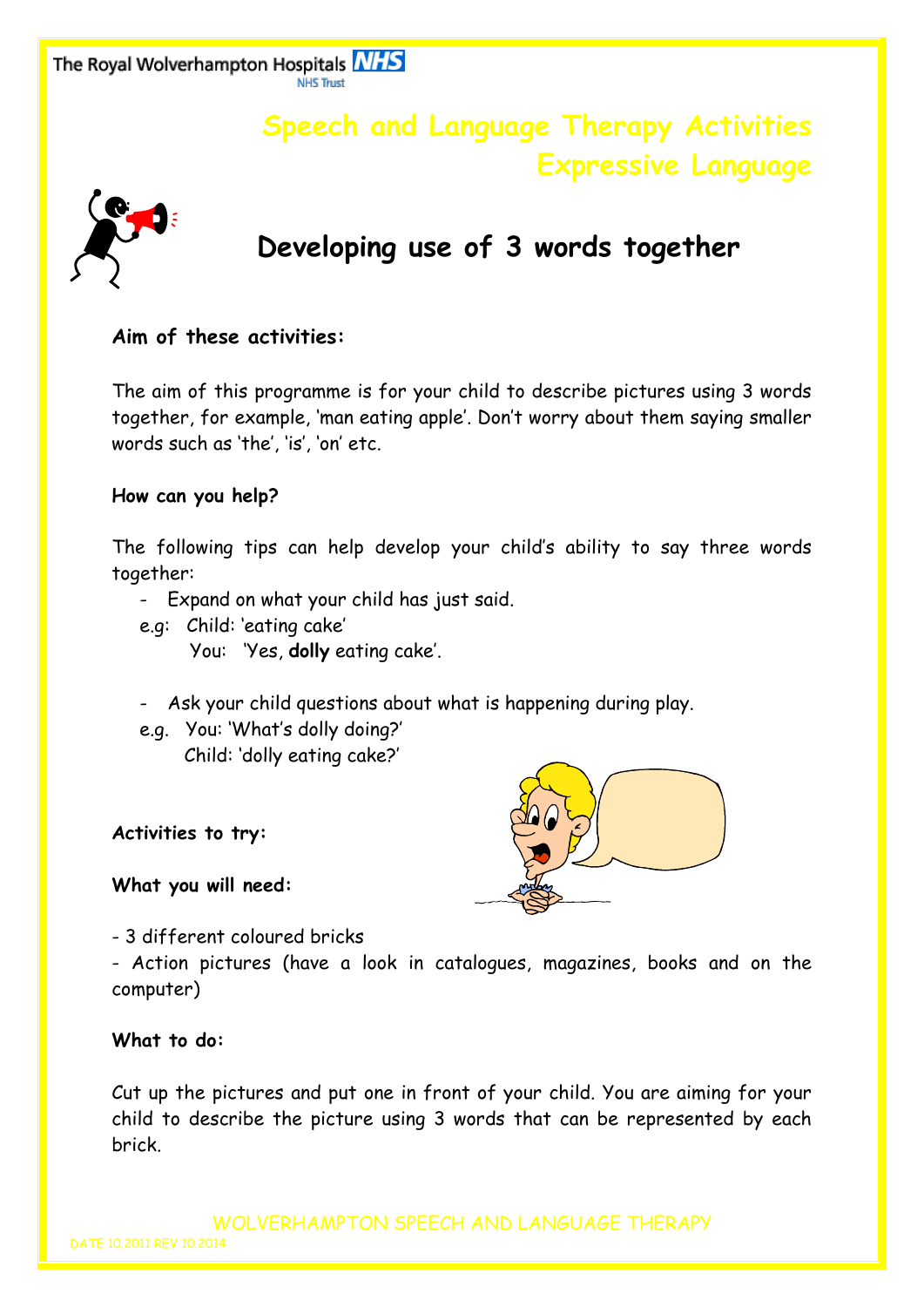The Royal Wolverhampton Hospitals **NHS** 

## **Speech and Language Therapy Activities Expressive Language**



# **Developing use of 3 words together**

## **Aim of these activities:**

The aim of this programme is for your child to describe pictures using 3 words together, for example, 'man eating apple'. Don't worry about them saying smaller words such as 'the', 'is', 'on' etc.

### **How can you help?**

The following tips can help develop your child's ability to say three words together:

- Expand on what your child has just said.
- e.g: Child: 'eating cake'
	- You: 'Yes, **dolly** eating cake'.
- Ask your child questions about what is happening during play.
- e.g. You: 'What's dolly doing?' Child: 'dolly eating cake?'

**Activities to try:**

### **What you will need:**

- 3 different coloured bricks

- Action pictures (have a look in catalogues, magazines, books and on the computer)

### **What to do:**

Cut up the pictures and put one in front of your child. You are aiming for your child to describe the picture using 3 words that can be represented by each brick.